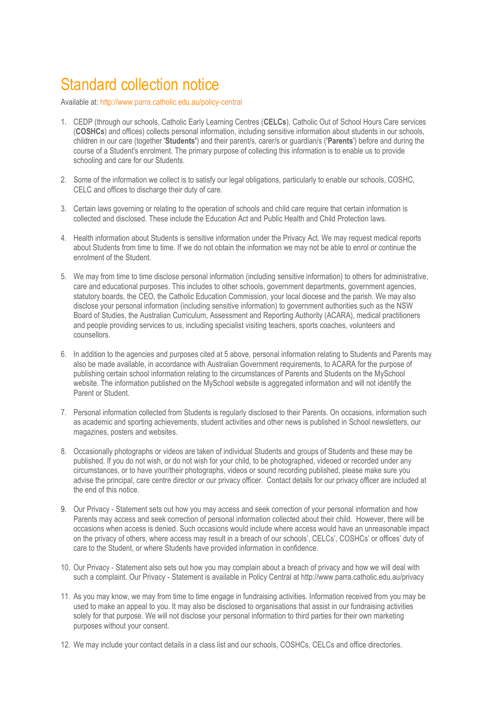## Standard collection notice

Available at:<http://www.parra.catholic.edu.au/policy-central>

- 1. CEDP (through our schools, Catholic Early Learning Centres (**CELCs**), Catholic Out of School Hours Care services (**COSHCs**) and offices) collects personal information, including sensitive information about students in our schools, children in our care (together '**Students'**) and their parent/s, carer/s or guardian/s ('**Parents**') before and during the course of a Student's enrolment. The primary purpose of collecting this information is to enable us to provide schooling and care for our Students.
- 2. Some of the information we collect is to satisfy our legal obligations, particularly to enable our schools, COSHC, CELC and offices to discharge their duty of care.
- 3. Certain laws governing or relating to the operation of schools and child care require that certain information is collected and disclosed. These include the Education Act and Public Health and Child Protection laws.
- 4. Health information about Students is sensitive information under the Privacy Act. We may request medical reports about Students from time to time. If we do not obtain the information we may not be able to enrol or continue the enrolment of the Student.
- 5. We may from time to time disclose personal information (including sensitive information) to others for administrative, care and educational purposes. This includes to other schools, government departments, government agencies, statutory boards, the CEO, the Catholic Education Commission, your local diocese and the parish. We may also disclose your personal information (including sensitive information) to government authorities such as the NSW Board of Studies, the Australian Curriculum, Assessment and Reporting Authority (ACARA), medical practitioners and people providing services to us, including specialist visiting teachers, sports coaches, volunteers and counsellors.
- 6. In addition to the agencies and purposes cited at 5 above, personal information relating to Students and Parents may also be made available, in accordance with Australian Government requirements, to ACARA for the purpose of publishing certain school information relating to the circumstances of Parents and Students on the MySchool website. The information published on the MySchool website is aggregated information and will not identify the Parent or Student.
- 7. Personal information collected from Students is regularly disclosed to their Parents. On occasions, information such as academic and sporting achievements, student activities and other news is published in School newsletters, our magazines, posters and websites.
- 8. Occasionally photographs or videos are taken of individual Students and groups of Students and these may be published. If you do not wish, or do not wish for your child, to be photographed, videoed or recorded under any circumstances, or to have your/their photographs, videos or sound recording published, please make sure you advise the principal, care centre director or our privacy officer. Contact details for our privacy officer are included at the end of this notice.
- 9. Our Privacy Statement sets out how you may access and seek correction of your personal information and how Parents may access and seek correction of personal information collected about their child. However, there will be occasions when access is denied. Such occasions would include where access would have an unreasonable impact on the privacy of others, where access may result in a breach of our schools', CELCs', COSHCs' or offices' duty of care to the Student, or where Students have provided information in confidence.
- 10. Our Privacy Statement also sets out how you may complain about a breach of privacy and how we will deal with such a complaint. Our Privacy - Statement is available in Policy Central at http://www.parra.catholic.edu.au/privacy
- 11. As you may know, we may from time to time engage in fundraising activities. Information received from you may be used to make an appeal to you. It may also be disclosed to organisations that assist in our fundraising activities solely for that purpose. We will not disclose your personal information to third parties for their own marketing purposes without your consent.
- 12. We may include your contact details in a class list and our schools, COSHCs, CELCs and office directories.